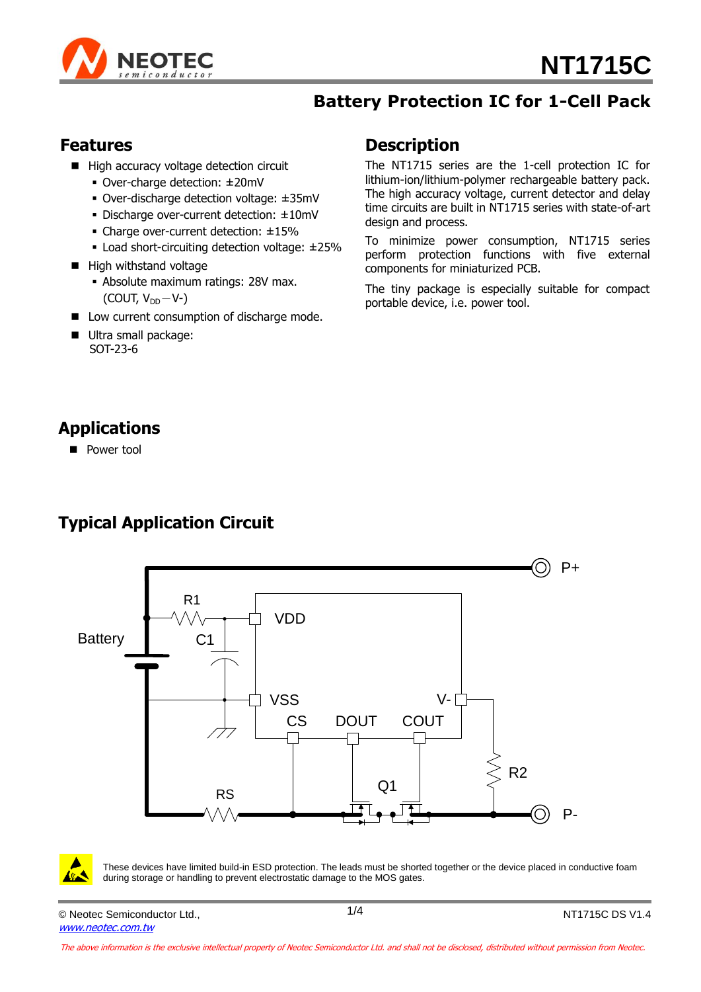

### **Battery Protection IC for 1-Cell Pack**

#### **Features**

- High accuracy voltage detection circuit
	- Over-charge detection: ± 20mV
	- Over-discharge detection voltage: ± 35mV
	- Discharge over-current detection: ± 10mV
	- Charge over-current detection: ±15%
	- Load short-circuiting detection voltage: ±25%
- $\blacksquare$  High withstand voltage
	- Absolute maximum ratings: 28V max. (COUT,  $V_{DD}-V$ -)
- Low current consumption of discharge mode.
- Ultra small package: SOT-23-6

#### **Description**

The NT1715 series are the 1-cell protection IC for lithium-ion/lithium-polymer rechargeable battery pack. The high accuracy voltage, current detector and delay time circuits are built in NT1715 series with state-of-art design and process.

To minimize power consumption, NT1715 series perform protection functions with five external components for miniaturized PCB.

The tiny package is especially suitable for compact portable device, i.e. power tool.

## **Applications**

**Power tool** 

## **Typical Application Circuit**





These devices have limited build-in ESD protection. The leads must be shorted together or the device placed in conductive foam during storage or handling to prevent electrostatic damage to the MOS gates.

© Neotec Semiconductor Ltd., [www.neotec.com.tw](http://mail.neotec.com.tw/cgi-bin/DOCUME~1/jackie/Documents%20and%20Settings/michael/Local%20Settings/Temp/notesF6B903/www.neotec.com.tw)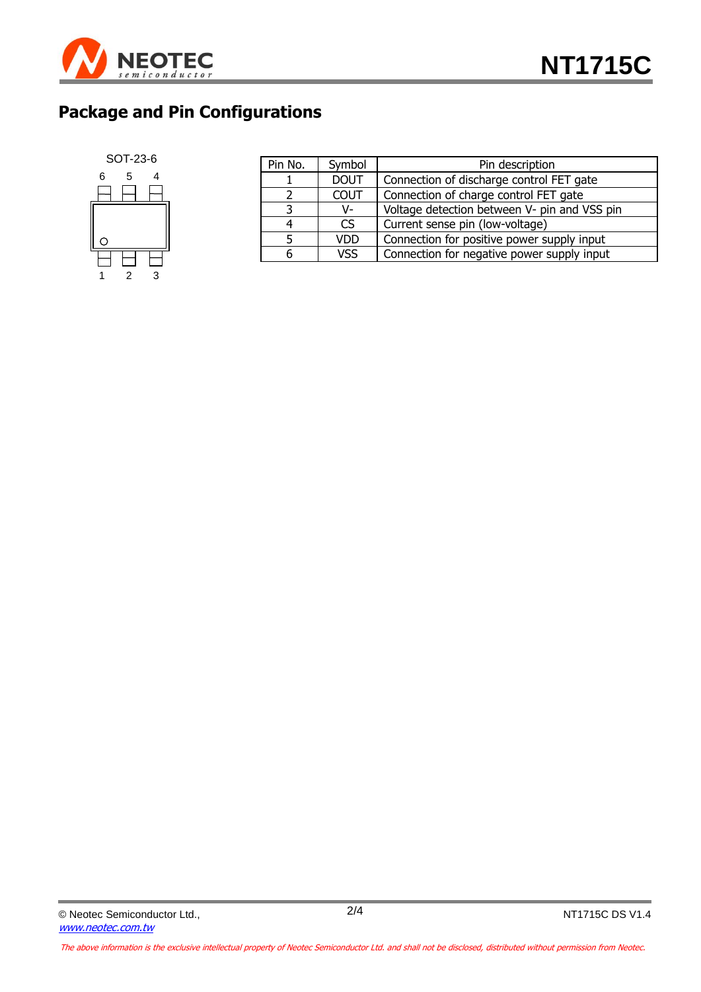

## **Package and Pin Configurations**



| Pin No. | Symbol      | Pin description                              |  |  |  |
|---------|-------------|----------------------------------------------|--|--|--|
|         | <b>DOUT</b> | Connection of discharge control FET gate     |  |  |  |
|         | <b>COUT</b> | Connection of charge control FET gate        |  |  |  |
| 3       | V-          | Voltage detection between V- pin and VSS pin |  |  |  |
| 4       | CS.         | Current sense pin (low-voltage)              |  |  |  |
| 5       | <b>VDD</b>  | Connection for positive power supply input   |  |  |  |
| 6       | <b>VSS</b>  | Connection for negative power supply input   |  |  |  |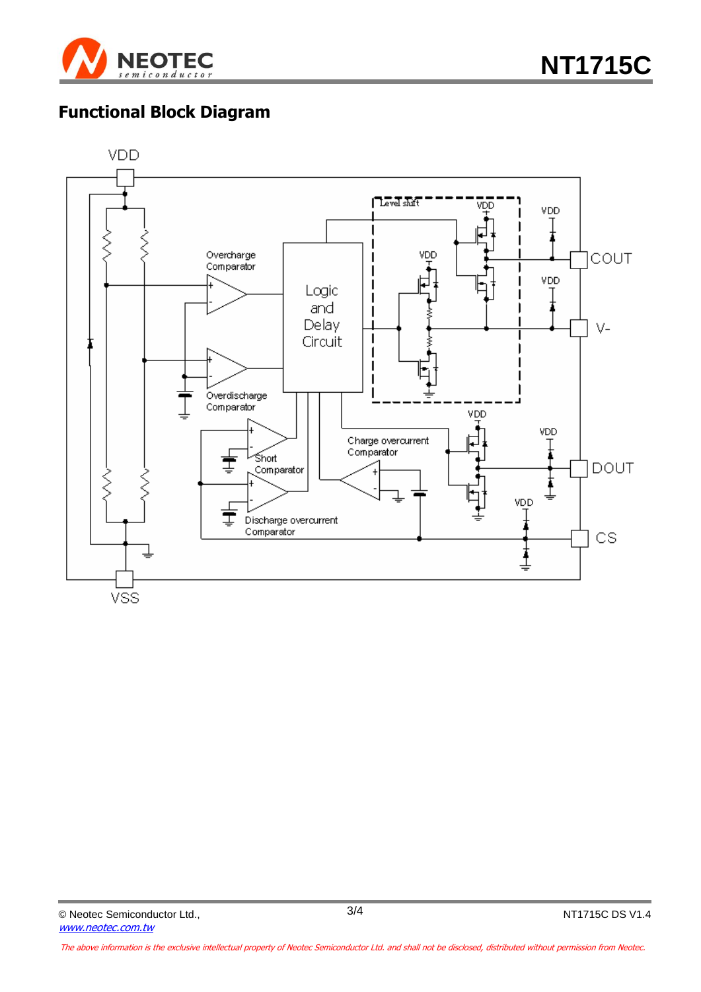

# **Functional Block Diagram**